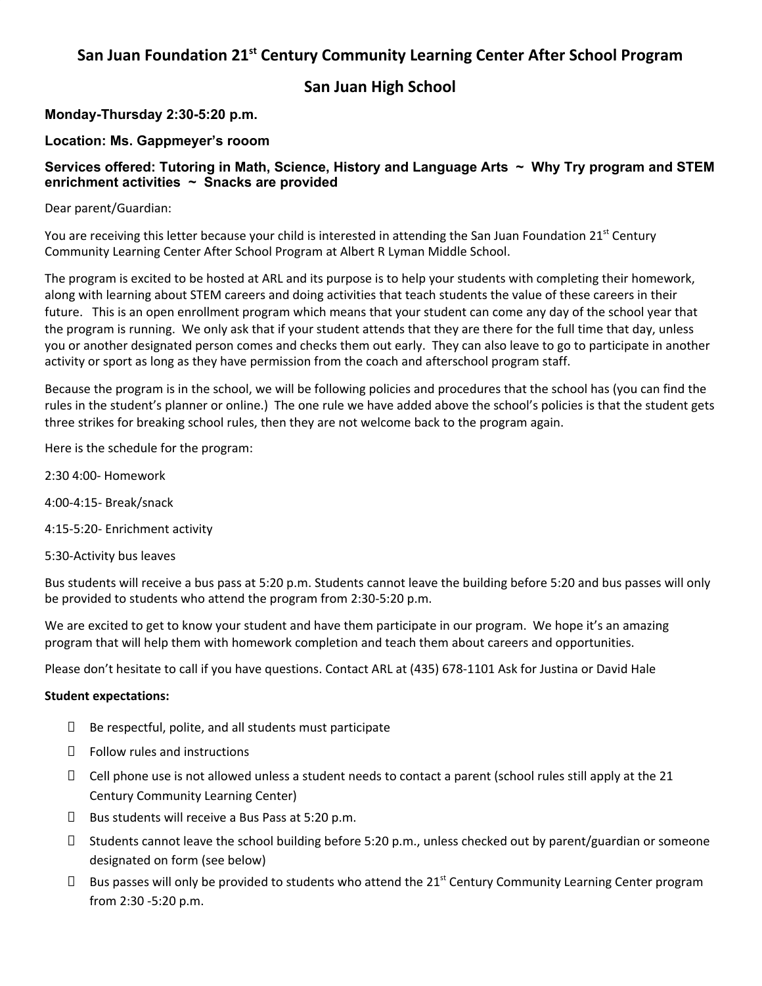### **San Juan Foundation 21 st Century Community Learning Center After School Program**

**San Juan High School**

**Monday-Thursday 2:30-5:20 p.m.**

**Location: Ms. Gappmeyer's rooom**

### **Services offered: Tutoring in Math, Science, History and Language Arts ~ Why Try program and STEM enrichment activities ~ Snacks are provided**

Dear parent/Guardian:

You are receiving this letter because your child is interested in attending the San Juan Foundation 21<sup>st</sup> Century Community Learning Center After School Program at Albert R Lyman Middle School.

The program is excited to be hosted at ARL and its purpose is to help your students with completing their homework, along with learning about STEM careers and doing activities that teach students the value of these careers in their future. This is an open enrollment program which means that your student can come any day of the school year that the program is running. We only ask that if your student attends that they are there for the full time that day, unless you or another designated person comes and checks them out early. They can also leave to go to participate in another activity or sport as long as they have permission from the coach and afterschool program staff.

Because the program is in the school, we will be following policies and procedures that the school has (you can find the rules in the student's planner or online.) The one rule we have added above the school's policies is that the student gets three strikes for breaking school rules, then they are not welcome back to the program again.

Here is the schedule for the program:

- 2:30 4:00- Homework
- 4:00-4:15- Break/snack
- 4:15-5:20- Enrichment activity
- 5:30-Activity bus leaves

Bus students will receive a bus pass at 5:20 p.m. Students cannot leave the building before 5:20 and bus passes will only be provided to students who attend the program from 2:30-5:20 p.m.

We are excited to get to know your student and have them participate in our program. We hope it's an amazing program that will help them with homework completion and teach them about careers and opportunities.

Please don't hesitate to call if you have questions. Contact ARL at (435) 678-1101 Ask for Justina or David Hale

#### **Student expectations:**

- $\Box$  Be respectful, polite, and all students must participate
- Follow rules and instructions
- $\Box$  Cell phone use is not allowed unless a student needs to contact a parent (school rules still apply at the 21 Century Community Learning Center)
- $\square$  Bus students will receive a Bus Pass at 5:20 p.m.
- Students cannot leave the school building before 5:20 p.m., unless checked out by parent/guardian or someone designated on form (see below)
- $\Box$  Bus passes will only be provided to students who attend the 21<sup>st</sup> Century Community Learning Center program from 2:30 -5:20 p.m.